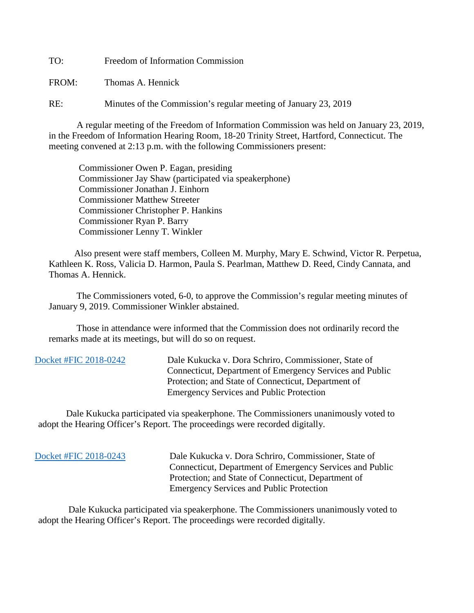TO: Freedom of Information Commission

FROM: Thomas A. Hennick

RE: Minutes of the Commission's regular meeting of January 23, 2019

A regular meeting of the Freedom of Information Commission was held on January 23, 2019, in the Freedom of Information Hearing Room, 18-20 Trinity Street, Hartford, Connecticut. The meeting convened at 2:13 p.m. with the following Commissioners present:

 Commissioner Owen P. Eagan, presiding Commissioner Jay Shaw (participated via speakerphone) Commissioner Jonathan J. Einhorn Commissioner Matthew Streeter Commissioner Christopher P. Hankins Commissioner Ryan P. Barry Commissioner Lenny T. Winkler

 Also present were staff members, Colleen M. Murphy, Mary E. Schwind, Victor R. Perpetua, Kathleen K. Ross, Valicia D. Harmon, Paula S. Pearlman, Matthew D. Reed, Cindy Cannata, and Thomas A. Hennick.

The Commissioners voted, 6-0, to approve the Commission's regular meeting minutes of January 9, 2019. Commissioner Winkler abstained.

 Those in attendance were informed that the Commission does not ordinarily record the remarks made at its meetings, but will do so on request.

 [Docket #FIC 2018-0242](https://www.ct.gov/foi/lib/foi/minutes/2019/jan23/2018-0242.pdf) Dale Kukucka v. Dora Schriro, Commissioner, State of Connecticut, Department of Emergency Services and Public Protection; and State of Connecticut, Department of Emergency Services and Public Protection

 Dale Kukucka participated via speakerphone. The Commissioners unanimously voted to adopt the Hearing Officer's Report. The proceedings were recorded digitally.

 [Docket #FIC 2018-0243](https://www.ct.gov/foi/lib/foi/minutes/2019/jan23/2018-0243.pdf) Dale Kukucka v. Dora Schriro, Commissioner, State of Connecticut, Department of Emergency Services and Public Protection; and State of Connecticut, Department of Emergency Services and Public Protection

 Dale Kukucka participated via speakerphone. The Commissioners unanimously voted to adopt the Hearing Officer's Report. The proceedings were recorded digitally.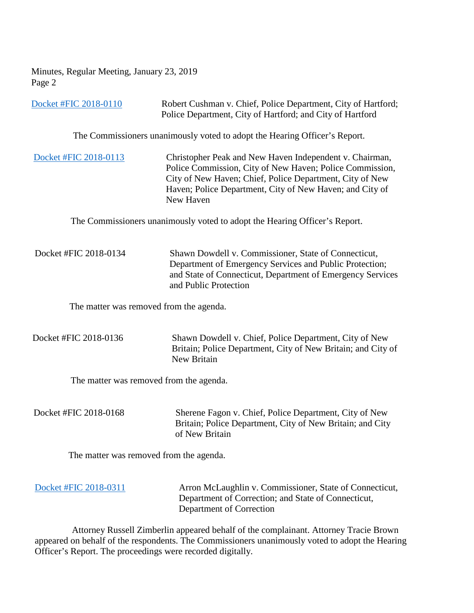Minutes, Regular Meeting, January 23, 2019 Page 2

[Docket #FIC 2018-0110](https://www.ct.gov/foi/lib/foi/minutes/2019/jan23/2018-0110.pdf) Robert Cushman v. Chief, Police Department, City of Hartford; Police Department, City of Hartford; and City of Hartford

The Commissioners unanimously voted to adopt the Hearing Officer's Report.

[Docket #FIC 2018-0113](https://www.ct.gov/foi/lib/foi/minutes/2019/jan23/2018-0113.pdf) Christopher Peak and New Haven Independent v. Chairman, Police Commission, City of New Haven; Police Commission, City of New Haven; Chief, Police Department, City of New Haven; Police Department, City of New Haven; and City of New Haven

The Commissioners unanimously voted to adopt the Hearing Officer's Report.

Docket #FIC 2018-0134 Shawn Dowdell v. Commissioner, State of Connecticut, Department of Emergency Services and Public Protection; and State of Connecticut, Department of Emergency Services and Public Protection

The matter was removed from the agenda.

| Docket #FIC 2018-0136 | Shawn Dowdell v. Chief, Police Department, City of New       |
|-----------------------|--------------------------------------------------------------|
|                       | Britain; Police Department, City of New Britain; and City of |
|                       | New Britain                                                  |

The matter was removed from the agenda.

Docket #FIC 2018-0168 Sherene Fagon v. Chief, Police Department, City of New Britain; Police Department, City of New Britain; and City of New Britain

The matter was removed from the agenda.

| Docket #FIC 2018-0311 | Arron McLaughlin v. Commissioner, State of Connecticut, |
|-----------------------|---------------------------------------------------------|
|                       | Department of Correction; and State of Connecticut,     |
|                       | Department of Correction                                |

 Attorney Russell Zimberlin appeared behalf of the complainant. Attorney Tracie Brown appeared on behalf of the respondents. The Commissioners unanimously voted to adopt the Hearing Officer's Report. The proceedings were recorded digitally.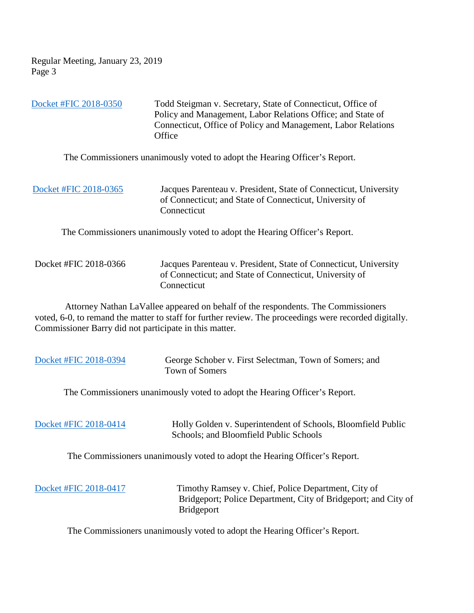Regular Meeting, January 23, 2019 Page 3

[Docket #FIC 2018-0350](https://www.ct.gov/foi/lib/foi/minutes/2019/jan23/2018-0350.pdf) Todd Steigman v. Secretary, State of Connecticut, Office of Policy and Management, Labor Relations Office; and State of Connecticut, Office of Policy and Management, Labor Relations **Office** 

The Commissioners unanimously voted to adopt the Hearing Officer's Report.

 [Docket #FIC 2018-0365](https://www.ct.gov/foi/lib/foi/minutes/2019/jan23/2018-0365.pdf) Jacques Parenteau v. President, State of Connecticut, University of Connecticut; and State of Connecticut, University of **Connecticut** 

The Commissioners unanimously voted to adopt the Hearing Officer's Report.

| Docket #FIC 2018-0366 | Jacques Parenteau v. President, State of Connecticut, University |
|-----------------------|------------------------------------------------------------------|
|                       | of Connecticut; and State of Connecticut, University of          |
|                       | Connecticut                                                      |

 Attorney Nathan LaVallee appeared on behalf of the respondents. The Commissioners voted, 6-0, to remand the matter to staff for further review. The proceedings were recorded digitally. Commissioner Barry did not participate in this matter.

| Docket #FIC 2018-0394 | George Schober v. First Selectman, Town of Somers; and<br><b>Town of Somers</b>                                                            |
|-----------------------|--------------------------------------------------------------------------------------------------------------------------------------------|
|                       | The Commissioners unanimously voted to adopt the Hearing Officer's Report.                                                                 |
| Docket #FIC 2018-0414 | Holly Golden v. Superintendent of Schools, Bloomfield Public<br>Schools; and Bloomfield Public Schools                                     |
|                       | The Commissioners unanimously voted to adopt the Hearing Officer's Report.                                                                 |
| Docket #FIC 2018-0417 | Timothy Ramsey v. Chief, Police Department, City of<br>Bridgeport; Police Department, City of Bridgeport; and City of<br><b>Bridgeport</b> |

The Commissioners unanimously voted to adopt the Hearing Officer's Report.